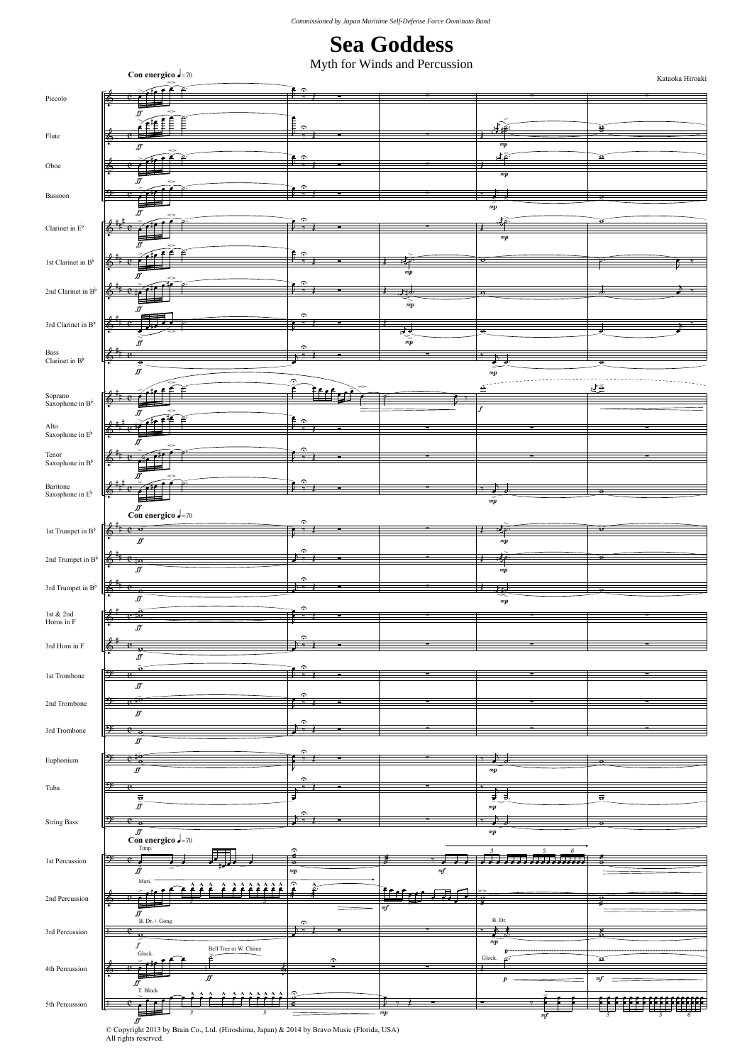## **Sea Goddess**

Myth for Winds and Percussion

| گ ملڪ<br>$\overline{c}$<br>6<br>$\frac{2}{3}$<br>≨∰ÊÊÊ<br>土质<br>용<br>$m\boldsymbol{p}$<br>ſſ<br>يقظة<br>$\pmb{\Omega}$<br>۶<br>♠<br>$m\boldsymbol{p}$<br>$\hat{\cdot}$<br>↨<br>母<br>$\bar{m}\bar{p}$<br>ff<br>$\epsilon$<br><b>D</b> +<br>$m\boldsymbol{p}$<br>$\frac{1}{2}$<br>t<br>₹Ρ<br>$\mathbf{v}$<br>$\boldsymbol{m}\boldsymbol{p}$<br>$\hat{\phantom{a}}$<br>6<br>井<br>$\bar{m}p$<br>$\hat{\phantom{a}}$<br>3rd Clarinet in $\mathrm{B}^{\flat}$<br>6<br>चु<br>$\bullet$<br>$\frac{1}{mp}$<br>IJ<br>۶<br>Bass Clarinet in $\mathbf{B}^{\flat}$<br>$\overline{\mathbf{e}}$<br>$f\hspace{-0.1cm}f$<br>$m\boldsymbol{p}$<br>$\hat{\phantom{a}}$<br>াভূ<br>₫<br>Soprano<br>Saxophone in $\mbox{\bf B}^\flat$<br>ff<br>£ ∩<br>Alto Saxophone in $\mathbb{E}^{\flat}$<br>6<br>۶<br>6<br>ñ<br>۶<br>Baritone $\label{eq:2.1}$ Saxophone in $\mbox{E}^{\flat}$<br>6<br>е<br>$\bar{m}\bar{p}$<br>$\int_{0}^{\sqrt{f}}$ con energico $\int_{0}^{1}$ = 70<br>l st<br>Trumpet in $\rm B^{\flat}$<br>$e^{-\bar{\mathbf{o}}\cdot}$<br>$\overline{\mathbf{u}}$<br> |                                                     | Con energico $\sqrt{-70}$ |               | my in for which and I creassion | Kataoka Hiroaki |
|-----------------------------------------------------------------------------------------------------------------------------------------------------------------------------------------------------------------------------------------------------------------------------------------------------------------------------------------------------------------------------------------------------------------------------------------------------------------------------------------------------------------------------------------------------------------------------------------------------------------------------------------------------------------------------------------------------------------------------------------------------------------------------------------------------------------------------------------------------------------------------------------------------------------------------------------------------------------------------------------------------------------------------------------------------------|-----------------------------------------------------|---------------------------|---------------|---------------------------------|-----------------|
|                                                                                                                                                                                                                                                                                                                                                                                                                                                                                                                                                                                                                                                                                                                                                                                                                                                                                                                                                                                                                                                           | Piccolo                                             |                           | $\frac{1}{2}$ |                                 |                 |
|                                                                                                                                                                                                                                                                                                                                                                                                                                                                                                                                                                                                                                                                                                                                                                                                                                                                                                                                                                                                                                                           |                                                     |                           |               |                                 |                 |
|                                                                                                                                                                                                                                                                                                                                                                                                                                                                                                                                                                                                                                                                                                                                                                                                                                                                                                                                                                                                                                                           | Flute                                               |                           |               |                                 |                 |
|                                                                                                                                                                                                                                                                                                                                                                                                                                                                                                                                                                                                                                                                                                                                                                                                                                                                                                                                                                                                                                                           | $\rm Oboe$                                          |                           |               |                                 |                 |
|                                                                                                                                                                                                                                                                                                                                                                                                                                                                                                                                                                                                                                                                                                                                                                                                                                                                                                                                                                                                                                                           |                                                     |                           |               |                                 |                 |
|                                                                                                                                                                                                                                                                                                                                                                                                                                                                                                                                                                                                                                                                                                                                                                                                                                                                                                                                                                                                                                                           | Bassoon                                             |                           |               |                                 |                 |
|                                                                                                                                                                                                                                                                                                                                                                                                                                                                                                                                                                                                                                                                                                                                                                                                                                                                                                                                                                                                                                                           | Clarinet in $\mathrm{E}^{\flat}$                    |                           |               |                                 |                 |
|                                                                                                                                                                                                                                                                                                                                                                                                                                                                                                                                                                                                                                                                                                                                                                                                                                                                                                                                                                                                                                                           |                                                     |                           |               |                                 |                 |
|                                                                                                                                                                                                                                                                                                                                                                                                                                                                                                                                                                                                                                                                                                                                                                                                                                                                                                                                                                                                                                                           | 1st Clarinet in $\mathbf{B}^{\flat}$                |                           |               |                                 |                 |
|                                                                                                                                                                                                                                                                                                                                                                                                                                                                                                                                                                                                                                                                                                                                                                                                                                                                                                                                                                                                                                                           | 2nd Clarinet in $B^{\flat}$                         |                           |               |                                 |                 |
|                                                                                                                                                                                                                                                                                                                                                                                                                                                                                                                                                                                                                                                                                                                                                                                                                                                                                                                                                                                                                                                           |                                                     |                           |               |                                 |                 |
|                                                                                                                                                                                                                                                                                                                                                                                                                                                                                                                                                                                                                                                                                                                                                                                                                                                                                                                                                                                                                                                           |                                                     |                           |               |                                 |                 |
|                                                                                                                                                                                                                                                                                                                                                                                                                                                                                                                                                                                                                                                                                                                                                                                                                                                                                                                                                                                                                                                           |                                                     |                           |               |                                 |                 |
|                                                                                                                                                                                                                                                                                                                                                                                                                                                                                                                                                                                                                                                                                                                                                                                                                                                                                                                                                                                                                                                           |                                                     |                           |               |                                 |                 |
|                                                                                                                                                                                                                                                                                                                                                                                                                                                                                                                                                                                                                                                                                                                                                                                                                                                                                                                                                                                                                                                           |                                                     |                           |               |                                 |                 |
|                                                                                                                                                                                                                                                                                                                                                                                                                                                                                                                                                                                                                                                                                                                                                                                                                                                                                                                                                                                                                                                           |                                                     |                           |               |                                 |                 |
|                                                                                                                                                                                                                                                                                                                                                                                                                                                                                                                                                                                                                                                                                                                                                                                                                                                                                                                                                                                                                                                           |                                                     |                           |               |                                 |                 |
|                                                                                                                                                                                                                                                                                                                                                                                                                                                                                                                                                                                                                                                                                                                                                                                                                                                                                                                                                                                                                                                           | Tenor Saxophone in $\mathbf{B}^{\flat}$             |                           |               |                                 |                 |
|                                                                                                                                                                                                                                                                                                                                                                                                                                                                                                                                                                                                                                                                                                                                                                                                                                                                                                                                                                                                                                                           |                                                     |                           |               |                                 |                 |
|                                                                                                                                                                                                                                                                                                                                                                                                                                                                                                                                                                                                                                                                                                                                                                                                                                                                                                                                                                                                                                                           |                                                     |                           |               |                                 |                 |
|                                                                                                                                                                                                                                                                                                                                                                                                                                                                                                                                                                                                                                                                                                                                                                                                                                                                                                                                                                                                                                                           |                                                     |                           |               |                                 |                 |
|                                                                                                                                                                                                                                                                                                                                                                                                                                                                                                                                                                                                                                                                                                                                                                                                                                                                                                                                                                                                                                                           |                                                     |                           |               |                                 |                 |
|                                                                                                                                                                                                                                                                                                                                                                                                                                                                                                                                                                                                                                                                                                                                                                                                                                                                                                                                                                                                                                                           |                                                     |                           |               |                                 |                 |
|                                                                                                                                                                                                                                                                                                                                                                                                                                                                                                                                                                                                                                                                                                                                                                                                                                                                                                                                                                                                                                                           | 3rd Trumpet in $\mathbf{B}^{\flat}$                 |                           |               |                                 |                 |
|                                                                                                                                                                                                                                                                                                                                                                                                                                                                                                                                                                                                                                                                                                                                                                                                                                                                                                                                                                                                                                                           | $\operatorname{\sf 1st}$ & $\operatorname{\sf 2nd}$ |                           |               |                                 |                 |
|                                                                                                                                                                                                                                                                                                                                                                                                                                                                                                                                                                                                                                                                                                                                                                                                                                                                                                                                                                                                                                                           |                                                     |                           |               |                                 |                 |
|                                                                                                                                                                                                                                                                                                                                                                                                                                                                                                                                                                                                                                                                                                                                                                                                                                                                                                                                                                                                                                                           |                                                     |                           |               |                                 |                 |
|                                                                                                                                                                                                                                                                                                                                                                                                                                                                                                                                                                                                                                                                                                                                                                                                                                                                                                                                                                                                                                                           | 1st Trombone                                        |                           |               |                                 |                 |
|                                                                                                                                                                                                                                                                                                                                                                                                                                                                                                                                                                                                                                                                                                                                                                                                                                                                                                                                                                                                                                                           | 2nd Trombone                                        |                           |               |                                 |                 |
|                                                                                                                                                                                                                                                                                                                                                                                                                                                                                                                                                                                                                                                                                                                                                                                                                                                                                                                                                                                                                                                           |                                                     |                           |               |                                 |                 |
|                                                                                                                                                                                                                                                                                                                                                                                                                                                                                                                                                                                                                                                                                                                                                                                                                                                                                                                                                                                                                                                           |                                                     |                           |               |                                 |                 |
|                                                                                                                                                                                                                                                                                                                                                                                                                                                                                                                                                                                                                                                                                                                                                                                                                                                                                                                                                                                                                                                           | Euphonium                                           |                           |               |                                 |                 |
|                                                                                                                                                                                                                                                                                                                                                                                                                                                                                                                                                                                                                                                                                                                                                                                                                                                                                                                                                                                                                                                           | Tuba                                                |                           |               |                                 |                 |
|                                                                                                                                                                                                                                                                                                                                                                                                                                                                                                                                                                                                                                                                                                                                                                                                                                                                                                                                                                                                                                                           |                                                     |                           |               |                                 |                 |
|                                                                                                                                                                                                                                                                                                                                                                                                                                                                                                                                                                                                                                                                                                                                                                                                                                                                                                                                                                                                                                                           |                                                     |                           |               |                                 |                 |
|                                                                                                                                                                                                                                                                                                                                                                                                                                                                                                                                                                                                                                                                                                                                                                                                                                                                                                                                                                                                                                                           | 1st Percussion                                      |                           |               |                                 |                 |
|                                                                                                                                                                                                                                                                                                                                                                                                                                                                                                                                                                                                                                                                                                                                                                                                                                                                                                                                                                                                                                                           |                                                     |                           |               |                                 |                 |
|                                                                                                                                                                                                                                                                                                                                                                                                                                                                                                                                                                                                                                                                                                                                                                                                                                                                                                                                                                                                                                                           | 2nd Percussion                                      |                           |               |                                 |                 |
|                                                                                                                                                                                                                                                                                                                                                                                                                                                                                                                                                                                                                                                                                                                                                                                                                                                                                                                                                                                                                                                           |                                                     |                           |               |                                 |                 |
|                                                                                                                                                                                                                                                                                                                                                                                                                                                                                                                                                                                                                                                                                                                                                                                                                                                                                                                                                                                                                                                           |                                                     |                           |               |                                 |                 |
|                                                                                                                                                                                                                                                                                                                                                                                                                                                                                                                                                                                                                                                                                                                                                                                                                                                                                                                                                                                                                                                           |                                                     |                           |               |                                 |                 |
|                                                                                                                                                                                                                                                                                                                                                                                                                                                                                                                                                                                                                                                                                                                                                                                                                                                                                                                                                                                                                                                           |                                                     |                           |               |                                 |                 |
|                                                                                                                                                                                                                                                                                                                                                                                                                                                                                                                                                                                                                                                                                                                                                                                                                                                                                                                                                                                                                                                           | 5th Percussion                                      |                           |               |                                 |                 |

 $\overline{J}$ <br>
© Copyright 2013 by Brain Co., Ltd. (Hiroshima, Japan) & 2014 by Bravo Music (Florida, USA)<br>All rights reserved.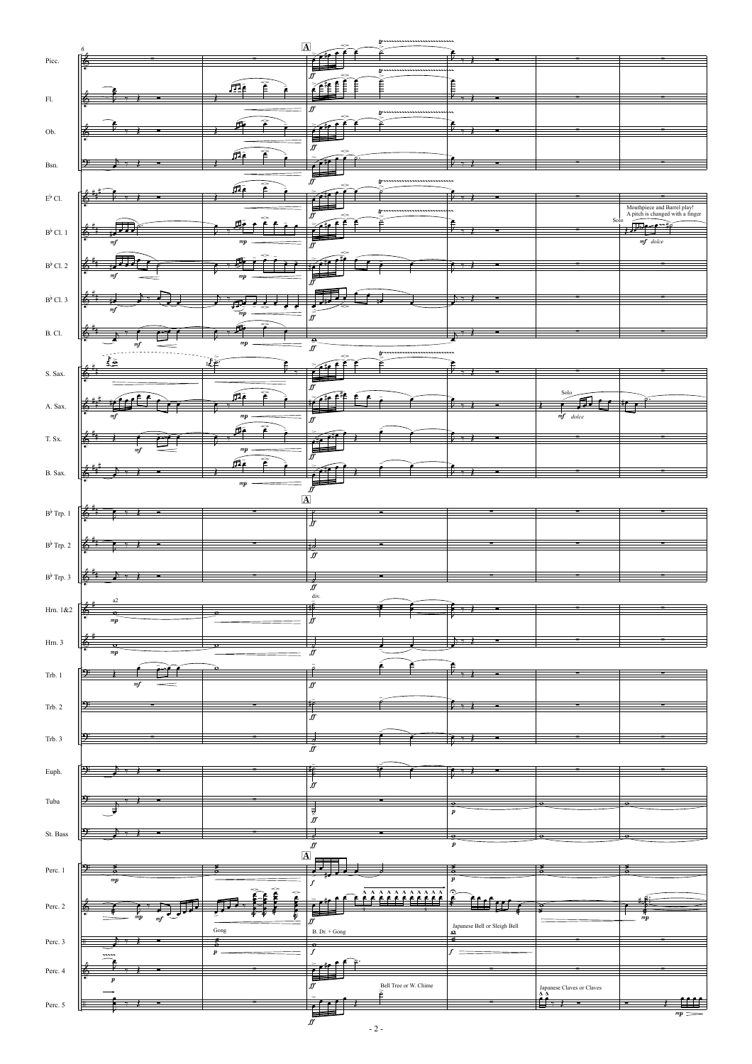|                              | 6                            | $\overline{\mathbf{A}}$            |                                        | tr                         |                                             |                           |                                                                 |
|------------------------------|------------------------------|------------------------------------|----------------------------------------|----------------------------|---------------------------------------------|---------------------------|-----------------------------------------------------------------|
| Picc.                        | 憰                            |                                    | - 11<br>∙                              |                            |                                             |                           |                                                                 |
|                              |                              |                                    | ᇀ<br>ff                                | tr                         |                                             |                           |                                                                 |
|                              |                              | 血<br>₹                             | Ě<br>≨≨€<br>Ē                          | Ê                          | Ê                                           |                           |                                                                 |
| ${\rm Fl.}$                  |                              |                                    |                                        |                            | ν.,                                         |                           |                                                                 |
|                              |                              |                                    | ff                                     | tr                         |                                             |                           |                                                                 |
| Ob.                          |                              | 7                                  | e<br>٠<br>ét                           |                            | $V \rightarrow 1$                           |                           |                                                                 |
|                              |                              |                                    | ſſ                                     |                            |                                             |                           |                                                                 |
|                              |                              | T<br>fi.                           |                                        |                            | $\mathcal{L}_{\mathcal{I}}$ )               |                           |                                                                 |
| Bsn.                         |                              |                                    | ᆯ                                      |                            |                                             |                           |                                                                 |
|                              |                              | ٠                                  | ff                                     | 1r                         |                                             |                           |                                                                 |
| $\operatorname{E}^\flat$ Cl. |                              |                                    | ert                                    |                            | $D_{\nu}$                                   |                           |                                                                 |
|                              |                              |                                    | ᄇ<br>ff                                |                            |                                             |                           | Mouthpiece and Barrel play!<br>A pitch is changed with a finger |
| $\mathrm{B}^\flat$ Cl. 1     | る                            |                                    |                                        |                            |                                             | Solo                      | <b>Report</b><br>سم                                             |
|                              | mf                           | mp                                 |                                        |                            |                                             |                           | $mf$ dolce                                                      |
|                              |                              |                                    | ff                                     |                            |                                             |                           |                                                                 |
| $B^{\flat}$ Cl. 2            |                              |                                    |                                        |                            | $\overline{R}$ $\rightarrow$                |                           |                                                                 |
|                              |                              | mp                                 |                                        |                            |                                             |                           |                                                                 |
|                              |                              |                                    |                                        |                            | $+$ $+$                                     |                           |                                                                 |
| $B^{\flat}$ Cl. 3            | mf                           |                                    |                                        |                            |                                             |                           |                                                                 |
|                              |                              | mp                                 | ff                                     |                            |                                             |                           |                                                                 |
| B.Cl.                        | $\overline{6}$               |                                    |                                        |                            |                                             |                           |                                                                 |
|                              | $_{mf}$<br>2                 | $m\hspace{-1.5pt}/\hspace{0.2pt}p$ | $\frac{\partial}{\partial x}$          | tr                         |                                             |                           |                                                                 |
|                              | $\mathcal{L}_{\mathbf{S}}$   | $\frac{1}{2}$                      |                                        |                            |                                             |                           |                                                                 |
| S. Sax.                      | 奄                            |                                    | $\overline{\phantom{0}}$               |                            | $V \rightarrow I$                           |                           |                                                                 |
|                              |                              |                                    | ff                                     |                            |                                             | Solo                      |                                                                 |
| A. Sax.                      |                              | fie                                | £<br>حقده                              |                            |                                             |                           |                                                                 |
|                              | m                            | $m\boldsymbol{p}$                  | $f\!f$                                 |                            |                                             | $mf$ dolce                |                                                                 |
|                              |                              | 氒                                  |                                        |                            |                                             |                           |                                                                 |
| T. Sx.                       | 而                            | $m\boldsymbol{p}$                  | 77<br>r i P<br>╘                       |                            |                                             |                           |                                                                 |
|                              | mf                           |                                    | ff                                     |                            |                                             |                           |                                                                 |
| B. Sax.                      |                              | 戶                                  |                                        |                            |                                             |                           |                                                                 |
|                              |                              | $m\boldsymbol{p}$                  | $\overrightarrow{r}$                   |                            |                                             |                           |                                                                 |
|                              |                              | $\overline{\mathbf{A}}$            |                                        |                            |                                             |                           |                                                                 |
| $\mathrm{B}^\flat$ Trp. 1    |                              |                                    |                                        |                            |                                             |                           |                                                                 |
|                              |                              |                                    | $\frac{1}{f}$                          |                            |                                             |                           |                                                                 |
| $\mathrm{B}^\flat$ Trp. 2    | $\overline{\mathbf{v}}$      |                                    |                                        |                            |                                             |                           |                                                                 |
|                              | 鱼                            |                                    | ₹<br>$f\hspace{-0.1cm}f$               |                            |                                             |                           |                                                                 |
|                              |                              |                                    |                                        |                            |                                             |                           |                                                                 |
| $\mathrm{B}^\flat$ Trp. 3    | Í6,                          |                                    | ₹                                      |                            |                                             |                           |                                                                 |
|                              | $\rm{a2}$                    |                                    | Īſ<br>div.                             |                            |                                             |                           |                                                                 |
| Hrn. 1&2                     | $+4+$<br>165<br>$\mathbf{a}$ |                                    |                                        |                            |                                             |                           |                                                                 |
|                              | $m\boldsymbol{p}$            |                                    | $\frac{1}{f}$                          |                            |                                             |                           |                                                                 |
| Hrn. 3                       | ió,                          |                                    |                                        |                            | $\mathcal{F}$                               |                           |                                                                 |
|                              | $m\hspace{-1.2pt}p$          |                                    | Īf                                     |                            |                                             |                           |                                                                 |
|                              |                              |                                    |                                        |                            |                                             |                           |                                                                 |
| Trb. 1                       | $\it mf$                     |                                    |                                        |                            | $V \rightarrow I$                           |                           |                                                                 |
|                              |                              |                                    | $f\hspace{-0.1cm}f$                    |                            |                                             |                           |                                                                 |
| Trb. 2                       |                              |                                    | $\frac{1}{f}$                          |                            | Þ<br>$\overline{\phantom{a}}$               |                           |                                                                 |
|                              |                              |                                    |                                        |                            |                                             |                           |                                                                 |
| Trb. 3                       | P.                           |                                    |                                        |                            | $\bullet$ $\bullet$ $\bullet$               |                           |                                                                 |
|                              |                              |                                    | ₹<br>$f\hspace{-0.1cm}f$               |                            |                                             |                           |                                                                 |
|                              |                              |                                    |                                        |                            |                                             |                           |                                                                 |
| Euph.                        | 季<br>≢<br>Ξ                  |                                    | 華                                      |                            | $\overline{r}$ $\rightarrow$ $\overline{t}$ |                           |                                                                 |
|                              |                              |                                    | $\frac{1}{2}$                          |                            |                                             |                           |                                                                 |
| Tuba                         | ⇒                            |                                    |                                        |                            | $\overline{\bullet}$                        |                           |                                                                 |
|                              |                              |                                    | $\frac{1}{\frac{1}{\tilde{y}}}$        |                            | $\pmb{p}$                                   |                           |                                                                 |
| St. Bass                     | ⇒                            |                                    | ╛                                      |                            |                                             |                           |                                                                 |
|                              |                              |                                    | $\bar{f}$                              |                            | $\bar{p}$                                   |                           |                                                                 |
|                              |                              | $\overline{\mathbf{A}}$            | 巪                                      |                            |                                             |                           |                                                                 |
| Perc. 1                      | Ð.                           |                                    | ╺                                      |                            | á                                           | Гá                        | ₹                                                               |
|                              | $m\hspace{-1.2pt}p$          |                                    | $\boldsymbol{f}$                       |                            | $\pmb{p}$                                   |                           |                                                                 |
|                              |                              | Î                                  |                                        | 2222222                    | 2                                           |                           |                                                                 |
| Perc. 2                      | J                            |                                    |                                        |                            |                                             |                           |                                                                 |
|                              | mf                           | ₽                                  | ff                                     |                            | Japanese Bell or Sleigh Bell<br>$\Omega$    |                           | $m\boldsymbol{p}$                                               |
| Perc. 3                      |                              | Gong<br>z                          | $\, {\bf B}.\, {\rm Dr.} + {\rm Gong}$ |                            | s                                           |                           |                                                                 |
|                              |                              | $\boldsymbol{p}$                   | ¢<br>$\boldsymbol{f}$                  |                            |                                             |                           |                                                                 |
|                              |                              |                                    |                                        |                            |                                             |                           |                                                                 |
| Perc. 4                      | $\boldsymbol{v}$             |                                    | ⋷                                      |                            |                                             |                           |                                                                 |
|                              |                              |                                    | $\boldsymbol{f}$                       | Bell Tree or W. Chime<br>ē |                                             | Japanese Claves or Claves |                                                                 |
| Perc. 5                      |                              |                                    | 덜                                      |                            |                                             | Ĺ۶                        |                                                                 |
|                              |                              |                                    | $\bar{f}$                              |                            |                                             |                           | $_{mp} =$                                                       |